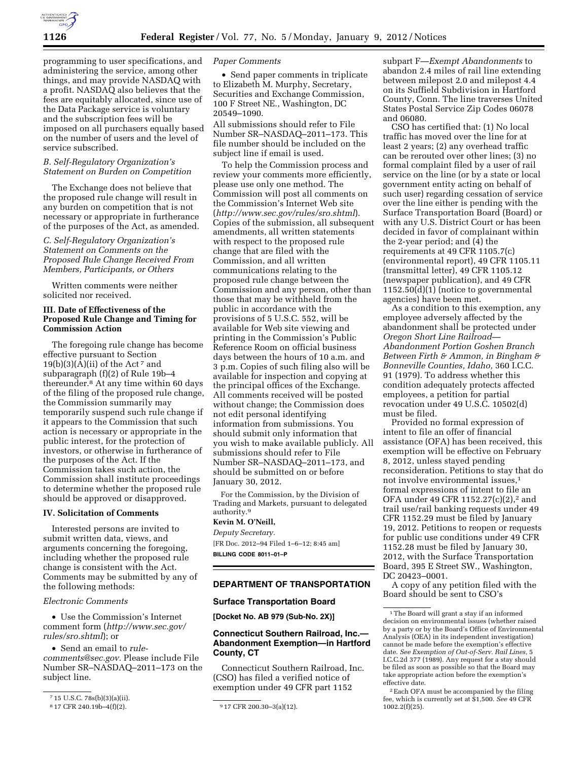

programming to user specifications, and administering the service, among other things, and may provide NASDAQ with a profit. NASDAQ also believes that the fees are equitably allocated, since use of the Data Package service is voluntary and the subscription fees will be imposed on all purchasers equally based on the number of users and the level of service subscribed.

# *B. Self-Regulatory Organization's Statement on Burden on Competition*

The Exchange does not believe that the proposed rule change will result in any burden on competition that is not necessary or appropriate in furtherance of the purposes of the Act, as amended.

# *C. Self-Regulatory Organization's Statement on Comments on the Proposed Rule Change Received From Members, Participants, or Others*

Written comments were neither solicited nor received.

# **III. Date of Effectiveness of the Proposed Rule Change and Timing for Commission Action**

The foregoing rule change has become effective pursuant to Section  $19(b)(3)(A)(ii)$  of the Act<sup>7</sup> and subparagraph (f)(2) of Rule 19b–4 thereunder.8 At any time within 60 days of the filing of the proposed rule change, the Commission summarily may temporarily suspend such rule change if it appears to the Commission that such action is necessary or appropriate in the public interest, for the protection of investors, or otherwise in furtherance of the purposes of the Act. If the Commission takes such action, the Commission shall institute proceedings to determine whether the proposed rule should be approved or disapproved.

## **IV. Solicitation of Comments**

Interested persons are invited to submit written data, views, and arguments concerning the foregoing, including whether the proposed rule change is consistent with the Act. Comments may be submitted by any of the following methods:

*Electronic Comments* 

• Use the Commission's Internet comment form (*[http://www.sec.gov/](http://www.sec.gov/rules/sro.shtml)  [rules/sro.shtml](http://www.sec.gov/rules/sro.shtml)*); or

• Send an email to *[rule-](mailto:rule-comments@sec.gov)*

*[comments@sec.gov.](mailto:rule-comments@sec.gov)* Please include File Number SR–NASDAQ–2011–173 on the subject line.

#### *Paper Comments*

• Send paper comments in triplicate to Elizabeth M. Murphy, Secretary, Securities and Exchange Commission, 100 F Street NE., Washington, DC 20549–1090.

All submissions should refer to File Number SR–NASDAQ–2011–173. This file number should be included on the subject line if email is used.

To help the Commission process and review your comments more efficiently, please use only one method. The Commission will post all comments on the Commission's Internet Web site (*<http://www.sec.gov/rules/sro.shtml>*). Copies of the submission, all subsequent amendments, all written statements with respect to the proposed rule change that are filed with the Commission, and all written communications relating to the proposed rule change between the Commission and any person, other than those that may be withheld from the public in accordance with the provisions of 5 U.S.C. 552, will be available for Web site viewing and printing in the Commission's Public Reference Room on official business days between the hours of 10 a.m. and 3 p.m. Copies of such filing also will be available for inspection and copying at the principal offices of the Exchange. All comments received will be posted without change; the Commission does not edit personal identifying information from submissions. You should submit only information that you wish to make available publicly. All submissions should refer to File Number SR–NASDAQ–2011–173, and should be submitted on or before January 30, 2012.

For the Commission, by the Division of Trading and Markets, pursuant to delegated authority.9

# **Kevin M. O'Neill,**

*Deputy Secretary.*  [FR Doc. 2012–94 Filed 1–6–12; 8:45 am] **BILLING CODE 8011–01–P** 

## **DEPARTMENT OF TRANSPORTATION**

#### **Surface Transportation Board**

**[Docket No. AB 979 (Sub-No. 2X)]** 

# **Connecticut Southern Railroad, Inc.— Abandonment Exemption—in Hartford County, CT**

Connecticut Southern Railroad, Inc. (CSO) has filed a verified notice of exemption under 49 CFR part 1152

subpart F—*Exempt Abandonments* to abandon 2.4 miles of rail line extending between milepost 2.0 and milepost 4.4 on its Suffield Subdivision in Hartford County, Conn. The line traverses United States Postal Service Zip Codes 06078 and 06080.

CSO has certified that: (1) No local traffic has moved over the line for at least 2 years; (2) any overhead traffic can be rerouted over other lines; (3) no formal complaint filed by a user of rail service on the line (or by a state or local government entity acting on behalf of such user) regarding cessation of service over the line either is pending with the Surface Transportation Board (Board) or with any U.S. District Court or has been decided in favor of complainant within the 2-year period; and (4) the requirements at 49 CFR 1105.7(c) (environmental report), 49 CFR 1105.11 (transmittal letter), 49 CFR 1105.12 (newspaper publication), and 49 CFR 1152.50(d)(1) (notice to governmental agencies) have been met.

As a condition to this exemption, any employee adversely affected by the abandonment shall be protected under *Oregon Short Line Railroad— Abandonment Portion Goshen Branch Between Firth & Ammon, in Bingham & Bonneville Counties, Idaho,* 360 I.C.C. 91 (1979). To address whether this condition adequately protects affected employees, a petition for partial revocation under 49 U.S.C. 10502(d) must be filed.

Provided no formal expression of intent to file an offer of financial assistance (OFA) has been received, this exemption will be effective on February 8, 2012, unless stayed pending reconsideration. Petitions to stay that do not involve environmental issues,1 formal expressions of intent to file an OFA under 49 CFR 1152.27(c)(2),<sup>2</sup> and trail use/rail banking requests under 49 CFR 1152.29 must be filed by January 19, 2012. Petitions to reopen or requests for public use conditions under 49 CFR 1152.28 must be filed by January 30, 2012, with the Surface Transportation Board, 395 E Street SW., Washington, DC 20423–0001.

A copy of any petition filed with the Board should be sent to CSO's

 $715$  U.S.C. 78s(b)(3)(a)(ii).<br><sup>8</sup>17 CFR 240.19b-4(f)(2).

 $917$  CFR 200.30-3(a)(12).

<sup>1</sup>The Board will grant a stay if an informed decision on environmental issues (whether raised by a party or by the Board's Office of Environmental Analysis (OEA) in its independent investigation) cannot be made before the exemption's effective date. *See Exemption of Out-of-Serv. Rail Lines,* 5 I.C.C.2d 377 (1989). Any request for a stay should be filed as soon as possible so that the Board may take appropriate action before the exemption's effective date.

<sup>2</sup>Each OFA must be accompanied by the filing fee, which is currently set at \$1,500. *See* 49 CFR 1002.2(f)(25).